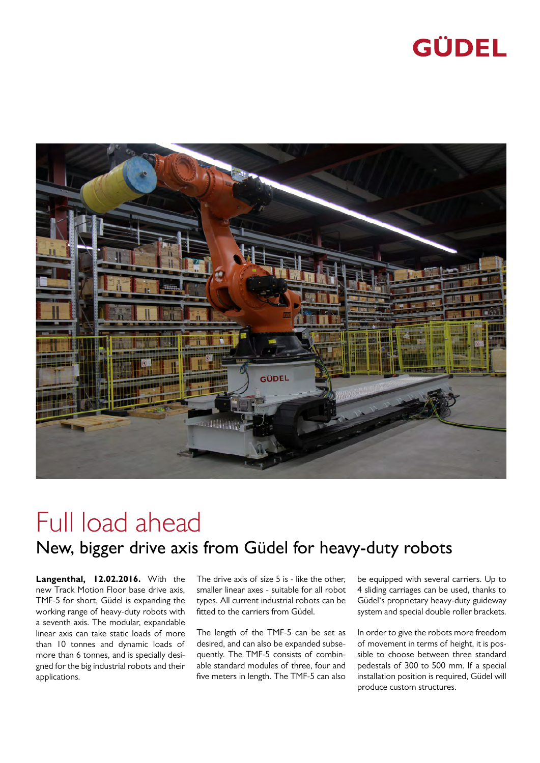## **GÜDEL**



## Full load ahead New, bigger drive axis from Güdel for heavy-duty robots

**Langenthal, 12.02.2016.** With the new Track Motion Floor base drive axis, TMF-5 for short, Güdel is expanding the working range of heavy-duty robots with a seventh axis. The modular, expandable linear axis can take static loads of more than 10 tonnes and dynamic loads of more than 6 tonnes, and is specially designed for the big industrial robots and their applications.

The drive axis of size 5 is - like the other, smaller linear axes - suitable for all robot types. All current industrial robots can be fitted to the carriers from Güdel.

The length of the TMF-5 can be set as desired, and can also be expanded subsequently. The TMF-5 consists of combinable standard modules of three, four and five meters in length. The TMF-5 can also be equipped with several carriers. Up to 4 sliding carriages can be used, thanks to Güdel's proprietary heavy-duty guideway system and special double roller brackets.

In order to give the robots more freedom of movement in terms of height, it is possible to choose between three standard pedestals of 300 to 500 mm. If a special installation position is required, Güdel will produce custom structures.